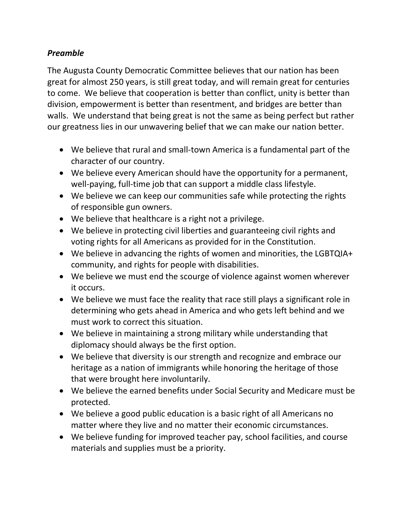## *Preamble*

The Augusta County Democratic Committee believes that our nation has been great for almost 250 years, is still great today, and will remain great for centuries to come. We believe that cooperation is better than conflict, unity is better than division, empowerment is better than resentment, and bridges are better than walls. We understand that being great is not the same as being perfect but rather our greatness lies in our unwavering belief that we can make our nation better.

- We believe that rural and small-town America is a fundamental part of the character of our country.
- We believe every American should have the opportunity for a permanent, well-paying, full-time job that can support a middle class lifestyle.
- We believe we can keep our communities safe while protecting the rights of responsible gun owners.
- We believe that healthcare is a right not a privilege.
- We believe in protecting civil liberties and guaranteeing civil rights and voting rights for all Americans as provided for in the Constitution.
- We believe in advancing the rights of women and minorities, the LGBTQIA+ community, and rights for people with disabilities.
- We believe we must end the scourge of violence against women wherever it occurs.
- We believe we must face the reality that race still plays a significant role in determining who gets ahead in America and who gets left behind and we must work to correct this situation.
- We believe in maintaining a strong military while understanding that diplomacy should always be the first option.
- We believe that diversity is our strength and recognize and embrace our heritage as a nation of immigrants while honoring the heritage of those that were brought here involuntarily.
- We believe the earned benefits under Social Security and Medicare must be protected.
- We believe a good public education is a basic right of all Americans no matter where they live and no matter their economic circumstances.
- We believe funding for improved teacher pay, school facilities, and course materials and supplies must be a priority.